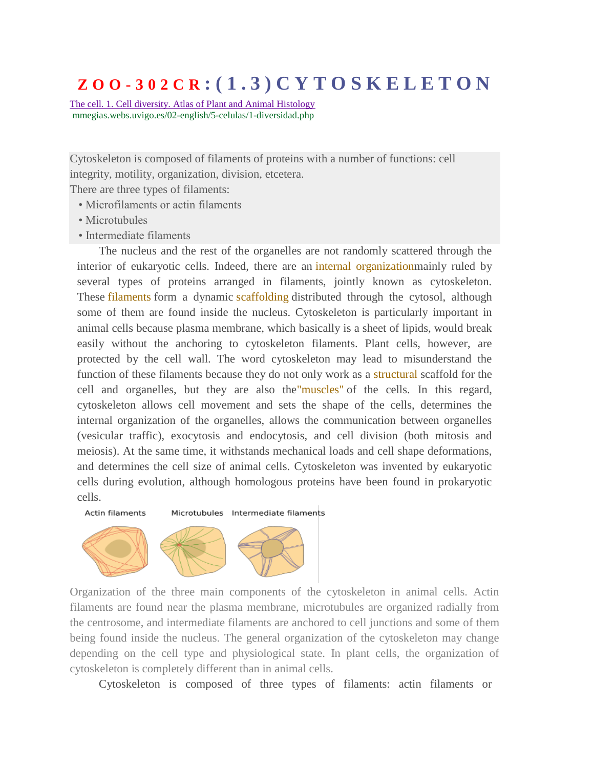# **Z O O - 3 0 2 C R : ( 1 . 3 ) C Y T O S K E L E T O N**

[The cell. 1. Cell diversity. Atlas of Plant and Animal Histology](https://www.google.co.in/url?sa=t&rct=j&q=&esrc=s&source=web&cd=8&cad=rja&uact=8&ved=0ahUKEwi-ovOpo_vPAhUSSY8KHZbUCEMQFghGMAc&url=http%3A%2F%2Fmmegias.webs.uvigo.es%2F02-english%2F5-celulas%2F1-diversidad.php&usg=AFQjCNEuguG3hXlRReitLfVhjWlX4O2piA&sig2=zeBK4IzwQ5iBlMSlRQjE5Q) mmegias.webs.uvigo.es/02-english/5-celulas/1-diversidad.php

Cytoskeleton is composed of filaments of proteins with a number of functions: cell integrity, motility, organization, division, etcetera.

There are three types of filaments:

- Microfilaments or actin filaments
- Microtubules
- Intermediate filaments

The nucleus and the rest of the organelles are not randomly scattered through the interior of eukaryotic cells. Indeed, there are an internal organization mainly ruled by several types of proteins arranged in filaments, jointly known as cytoskeleton. These **filaments** form a dynamic scaffolding distributed through the cytosol, although some of them are found inside the nucleus. Cytoskeleton is particularly important in animal cells because plasma membrane, which basically is a sheet of lipids, would break easily without the anchoring to cytoskeleton filaments. Plant cells, however, are protected by the cell wall. The word cytoskeleton may lead to misunderstand the function of these filaments because they do not only work as a structural scaffold for the cell and organelles, but they are also the"muscles" of the cells. In this regard, cytoskeleton allows cell movement and sets the shape of the cells, determines the internal organization of the organelles, allows the communication between organelles (vesicular traffic), exocytosis and endocytosis, and cell division (both mitosis and meiosis). At the same time, it withstands mechanical loads and cell shape deformations, and determines the cell size of animal cells. Cytoskeleton was invented by eukaryotic cells during evolution, although homologous proteins have been found in prokaryotic cells.





Organization of the three main components of the cytoskeleton in animal cells. Actin filaments are found near the plasma membrane, microtubules are organized radially from the centrosome, and intermediate filaments are anchored to cell junctions and some of them being found inside the nucleus. The general organization of the cytoskeleton may change depending on the cell type and physiological state. In plant cells, the organization of cytoskeleton is completely different than in animal cells.

Cytoskeleton is composed of three types of filaments: actin filaments or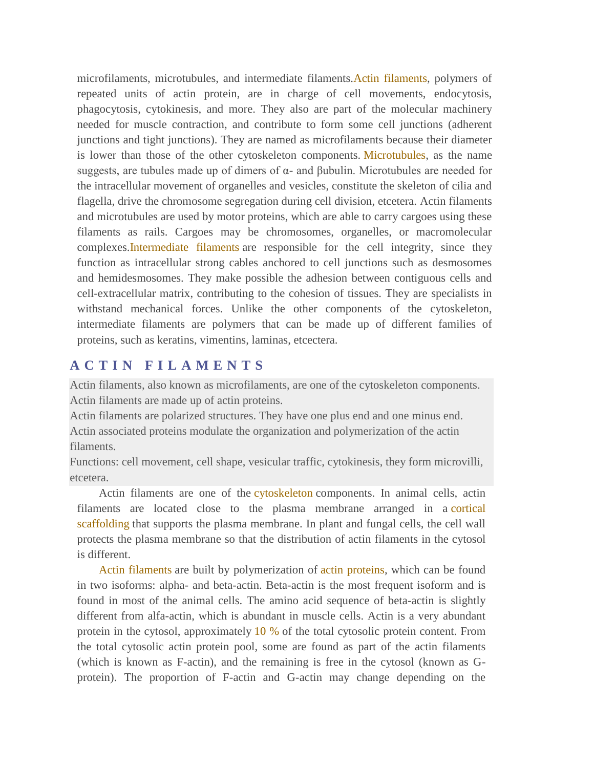microfilaments, microtubules, and intermediate filaments.Actin filaments, polymers of repeated units of actin protein, are in charge of cell movements, endocytosis, phagocytosis, cytokinesis, and more. They also are part of the molecular machinery needed for muscle contraction, and contribute to form some cell junctions (adherent junctions and tight junctions). They are named as microfilaments because their diameter is lower than those of the other cytoskeleton components. Microtubules, as the name suggests, are tubules made up of dimers of  $\alpha$ - and βubulin. Microtubules are needed for the intracellular movement of organelles and vesicles, constitute the skeleton of cilia and flagella, drive the chromosome segregation during cell division, etcetera. Actin filaments and microtubules are used by motor proteins, which are able to carry cargoes using these filaments as rails. Cargoes may be chromosomes, organelles, or macromolecular complexes.Intermediate filaments are responsible for the cell integrity, since they function as intracellular strong cables anchored to cell junctions such as desmosomes and hemidesmosomes. They make possible the adhesion between contiguous cells and cell-extracellular matrix, contributing to the cohesion of tissues. They are specialists in withstand mechanical forces. Unlike the other components of the cytoskeleton, intermediate filaments are polymers that can be made up of different families of proteins, such as keratins, vimentins, laminas, etcectera.

# **A C T I N F I L A M E N T S**

Actin filaments, also known as microfilaments, are one of the cytoskeleton components. Actin filaments are made up of actin proteins.

Actin filaments are polarized structures. They have one plus end and one minus end.

Actin associated proteins modulate the organization and polymerization of the actin filaments.

Functions: cell movement, cell shape, vesicular traffic, cytokinesis, they form microvilli, etcetera.

Actin filaments are one of the cytoskeleton components. In animal cells, actin filaments are located close to the plasma membrane arranged in a cortical scaffolding that supports the plasma membrane. In plant and fungal cells, the cell wall protects the plasma membrane so that the distribution of actin filaments in the cytosol is different.

Actin filaments are built by polymerization of actin proteins, which can be found in two isoforms: alpha- and beta-actin. Beta-actin is the most frequent isoform and is found in most of the animal cells. The amino acid sequence of beta-actin is slightly different from alfa-actin, which is abundant in muscle cells. Actin is a very abundant protein in the cytosol, approximately 10 % of the total cytosolic protein content. From the total cytosolic actin protein pool, some are found as part of the actin filaments (which is known as F-actin), and the remaining is free in the cytosol (known as Gprotein). The proportion of F-actin and G-actin may change depending on the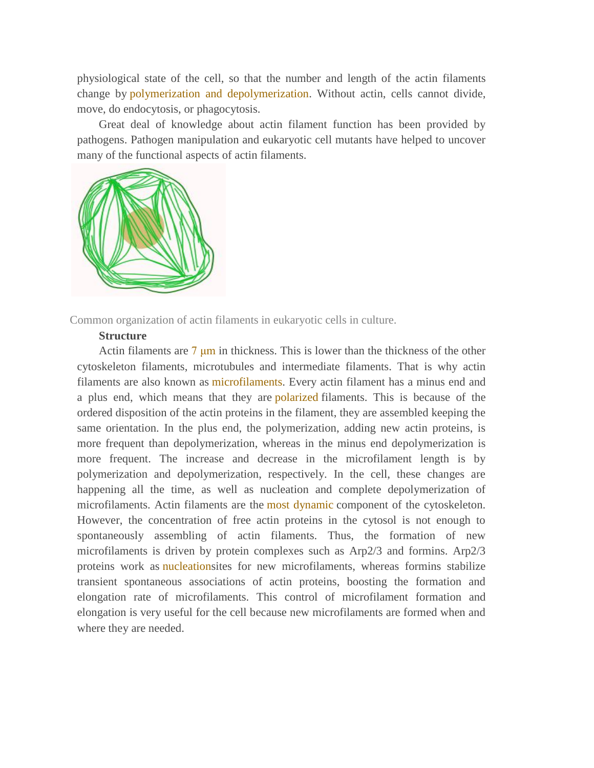physiological state of the cell, so that the number and length of the actin filaments change by polymerization and depolymerization. Without actin, cells cannot divide, move, do endocytosis, or phagocytosis.

Great deal of knowledge about actin filament function has been provided by pathogens. Pathogen manipulation and eukaryotic cell mutants have helped to uncover many of the functional aspects of actin filaments.



Common organization of actin filaments in eukaryotic cells in culture.

# **Structure**

Actin filaments are  $7 \mu m$  in thickness. This is lower than the thickness of the other cytoskeleton filaments, microtubules and intermediate filaments. That is why actin filaments are also known as microfilaments. Every actin filament has a minus end and a plus end, which means that they are polarized filaments. This is because of the ordered disposition of the actin proteins in the filament, they are assembled keeping the same orientation. In the plus end, the polymerization, adding new actin proteins, is more frequent than depolymerization, whereas in the minus end depolymerization is more frequent. The increase and decrease in the microfilament length is by polymerization and depolymerization, respectively. In the cell, these changes are happening all the time, as well as nucleation and complete depolymerization of microfilaments. Actin filaments are the most dynamic component of the cytoskeleton. However, the concentration of free actin proteins in the cytosol is not enough to spontaneously assembling of actin filaments. Thus, the formation of new microfilaments is driven by protein complexes such as Arp2/3 and formins. Arp2/3 proteins work as nucleationsites for new microfilaments, whereas formins stabilize transient spontaneous associations of actin proteins, boosting the formation and elongation rate of microfilaments. This control of microfilament formation and elongation is very useful for the cell because new microfilaments are formed when and where they are needed.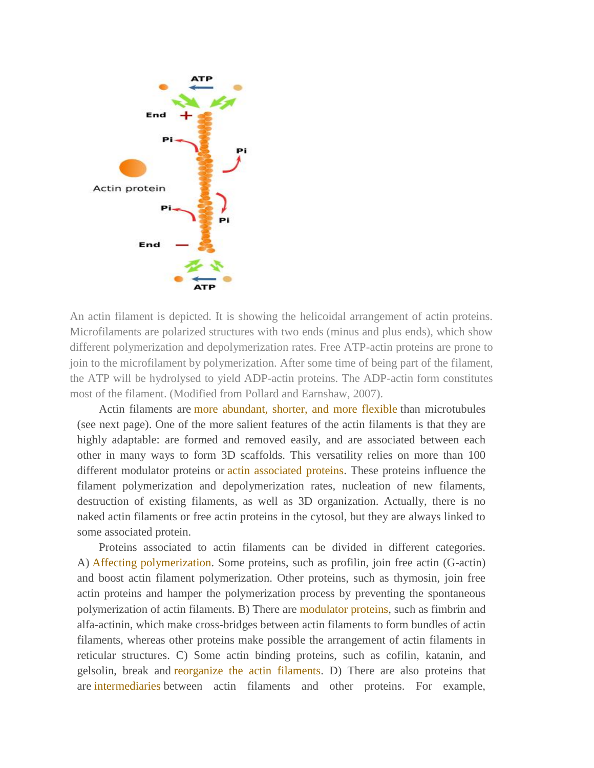

An actin filament is depicted. It is showing the helicoidal arrangement of actin proteins. Microfilaments are polarized structures with two ends (minus and plus ends), which show different polymerization and depolymerization rates. Free ATP-actin proteins are prone to join to the microfilament by polymerization. After some time of being part of the filament, the ATP will be hydrolysed to yield ADP-actin proteins. The ADP-actin form constitutes most of the filament. (Modified from Pollard and Earnshaw, 2007).

Actin filaments are more abundant, shorter, and more flexible than microtubules (see next page). One of the more salient features of the actin filaments is that they are highly adaptable: are formed and removed easily, and are associated between each other in many ways to form 3D scaffolds. This versatility relies on more than 100 different modulator proteins or **actin** associated proteins. These proteins influence the filament polymerization and depolymerization rates, nucleation of new filaments, destruction of existing filaments, as well as 3D organization. Actually, there is no naked actin filaments or free actin proteins in the cytosol, but they are always linked to some associated protein.

Proteins associated to actin filaments can be divided in different categories. A) Affecting polymerization. Some proteins, such as profilin, join free actin (G-actin) and boost actin filament polymerization. Other proteins, such as thymosin, join free actin proteins and hamper the polymerization process by preventing the spontaneous polymerization of actin filaments. B) There are modulator proteins, such as fimbrin and alfa-actinin, which make cross-bridges between actin filaments to form bundles of actin filaments, whereas other proteins make possible the arrangement of actin filaments in reticular structures. C) Some actin binding proteins, such as cofilin, katanin, and gelsolin, break and reorganize the actin filaments. D) There are also proteins that are intermediaries between actin filaments and other proteins. For example,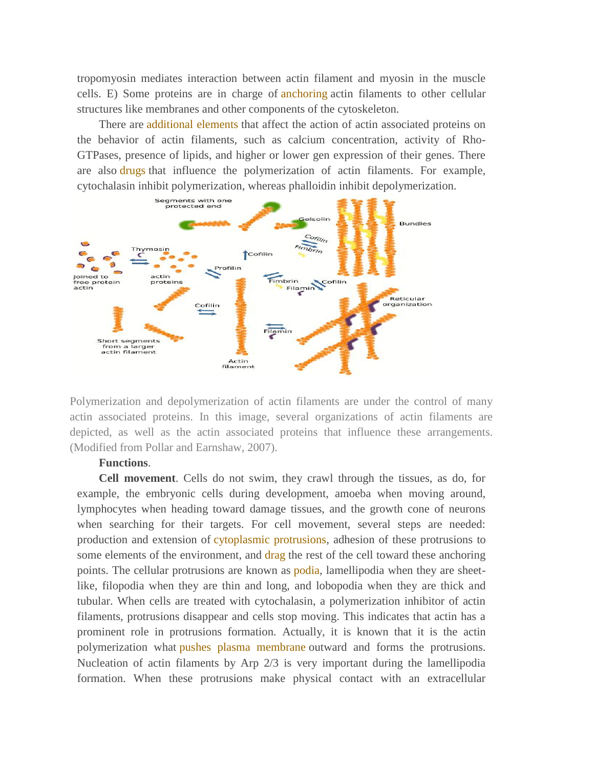tropomyosin mediates interaction between actin filament and myosin in the muscle cells. E) Some proteins are in charge of anchoring actin filaments to other cellular structures like membranes and other components of the cytoskeleton.

There are additional elements that affect the action of actin associated proteins on the behavior of actin filaments, such as calcium concentration, activity of Rho-GTPases, presence of lipids, and higher or lower gen expression of their genes. There are also drugs that influence the polymerization of actin filaments. For example, cytochalasin inhibit polymerization, whereas phalloidin inhibit depolymerization.



Polymerization and depolymerization of actin filaments are under the control of many actin associated proteins. In this image, several organizations of actin filaments are depicted, as well as the actin associated proteins that influence these arrangements. (Modified from Pollar and Earnshaw, 2007).

## **Functions**.

**Cell movement**. Cells do not swim, they crawl through the tissues, as do, for example, the embryonic cells during development, amoeba when moving around, lymphocytes when heading toward damage tissues, and the growth cone of neurons when searching for their targets. For cell movement, several steps are needed: production and extension of cytoplasmic protrusions, adhesion of these protrusions to some elements of the environment, and drag the rest of the cell toward these anchoring points. The cellular protrusions are known as *podia*, lamellipodia when they are sheetlike, filopodia when they are thin and long, and lobopodia when they are thick and tubular. When cells are treated with cytochalasin, a polymerization inhibitor of actin filaments, protrusions disappear and cells stop moving. This indicates that actin has a prominent role in protrusions formation. Actually, it is known that it is the actin polymerization what pushes plasma membrane outward and forms the protrusions. Nucleation of actin filaments by Arp 2/3 is very important during the lamellipodia formation. When these protrusions make physical contact with an extracellular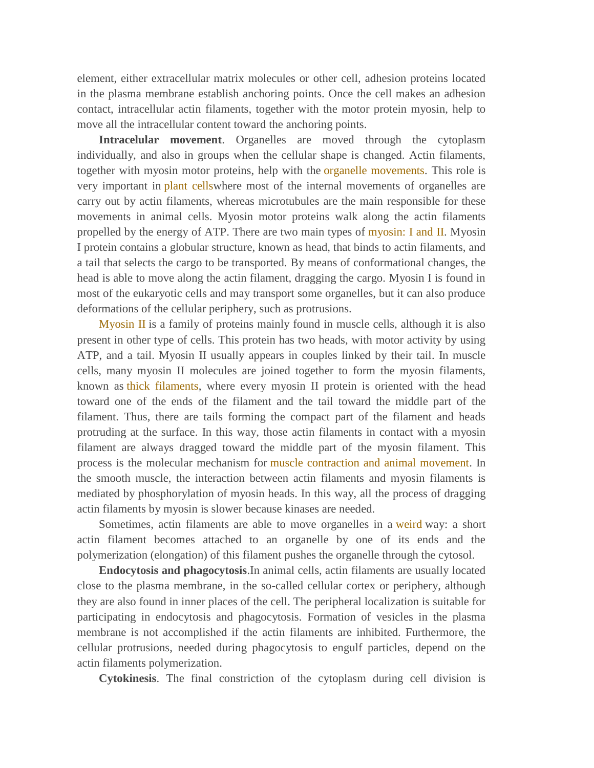element, either extracellular matrix molecules or other cell, adhesion proteins located in the plasma membrane establish anchoring points. Once the cell makes an adhesion contact, intracellular actin filaments, together with the motor protein myosin, help to move all the intracellular content toward the anchoring points.

**Intracelular movement**. Organelles are moved through the cytoplasm individually, and also in groups when the cellular shape is changed. Actin filaments, together with myosin motor proteins, help with the organelle movements. This role is very important in plant cellswhere most of the internal movements of organelles are carry out by actin filaments, whereas microtubules are the main responsible for these movements in animal cells. Myosin motor proteins walk along the actin filaments propelled by the energy of ATP. There are two main types of myosin: I and II. Myosin I protein contains a globular structure, known as head, that binds to actin filaments, and a tail that selects the cargo to be transported. By means of conformational changes, the head is able to move along the actin filament, dragging the cargo. Myosin I is found in most of the eukaryotic cells and may transport some organelles, but it can also produce deformations of the cellular periphery, such as protrusions.

Myosin II is a family of proteins mainly found in muscle cells, although it is also present in other type of cells. This protein has two heads, with motor activity by using ATP, and a tail. Myosin II usually appears in couples linked by their tail. In muscle cells, many myosin II molecules are joined together to form the myosin filaments, known as thick filaments, where every myosin II protein is oriented with the head toward one of the ends of the filament and the tail toward the middle part of the filament. Thus, there are tails forming the compact part of the filament and heads protruding at the surface. In this way, those actin filaments in contact with a myosin filament are always dragged toward the middle part of the myosin filament. This process is the molecular mechanism for muscle contraction and animal movement. In the smooth muscle, the interaction between actin filaments and myosin filaments is mediated by phosphorylation of myosin heads. In this way, all the process of dragging actin filaments by myosin is slower because kinases are needed.

Sometimes, actin filaments are able to move organelles in a weird way: a short actin filament becomes attached to an organelle by one of its ends and the polymerization (elongation) of this filament pushes the organelle through the cytosol.

**Endocytosis and phagocytosis**.In animal cells, actin filaments are usually located close to the plasma membrane, in the so-called cellular cortex or periphery, although they are also found in inner places of the cell. The peripheral localization is suitable for participating in endocytosis and phagocytosis. Formation of vesicles in the plasma membrane is not accomplished if the actin filaments are inhibited. Furthermore, the cellular protrusions, needed during phagocytosis to engulf particles, depend on the actin filaments polymerization.

**Cytokinesis**. The final constriction of the cytoplasm during cell division is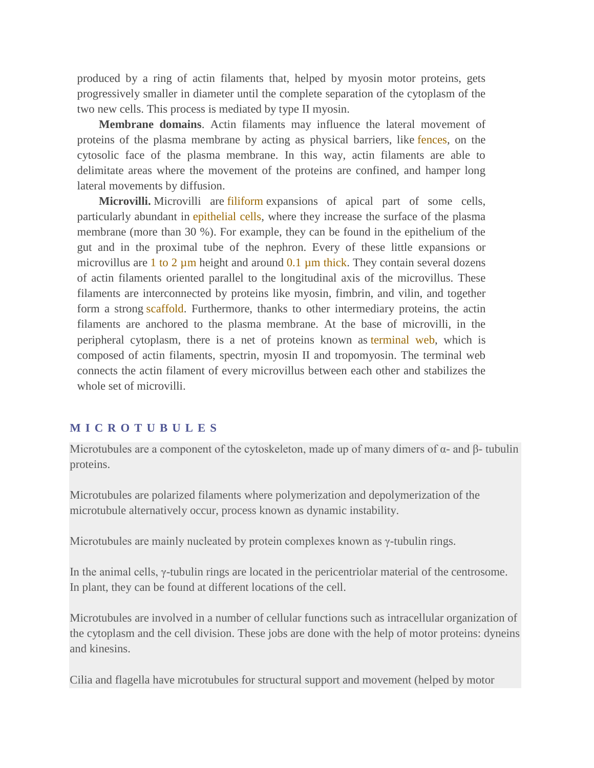produced by a ring of actin filaments that, helped by myosin motor proteins, gets progressively smaller in diameter until the complete separation of the cytoplasm of the two new cells. This process is mediated by type II myosin.

**Membrane domains**. Actin filaments may influence the lateral movement of proteins of the plasma membrane by acting as physical barriers, like fences, on the cytosolic face of the plasma membrane. In this way, actin filaments are able to delimitate areas where the movement of the proteins are confined, and hamper long lateral movements by diffusion.

**Microvilli.** Microvilli are filiform expansions of apical part of some cells, particularly abundant in epithelial cells, where they increase the surface of the plasma membrane (more than 30 %). For example, they can be found in the epithelium of the gut and in the proximal tube of the nephron. Every of these little expansions or microvillus are 1 to 2  $\mu$ m height and around 0.1  $\mu$ m thick. They contain several dozens of actin filaments oriented parallel to the longitudinal axis of the microvillus. These filaments are interconnected by proteins like myosin, fimbrin, and vilin, and together form a strong scaffold. Furthermore, thanks to other intermediary proteins, the actin filaments are anchored to the plasma membrane. At the base of microvilli, in the peripheral cytoplasm, there is a net of proteins known as terminal web, which is composed of actin filaments, spectrin, myosin II and tropomyosin. The terminal web connects the actin filament of every microvillus between each other and stabilizes the whole set of microvilli.

## **M I C R O T U B U L E S**

Microtubules are a component of the cytoskeleton, made up of many dimers of  $\alpha$ - and  $\beta$ - tubulin proteins.

Microtubules are polarized filaments where polymerization and depolymerization of the microtubule alternatively occur, process known as dynamic instability.

Microtubules are mainly nucleated by protein complexes known as γ-tubulin rings.

In the animal cells, γ-tubulin rings are located in the pericentriolar material of the centrosome. In plant, they can be found at different locations of the cell.

Microtubules are involved in a number of cellular functions such as intracellular organization of the cytoplasm and the cell division. These jobs are done with the help of motor proteins: dyneins and kinesins.

Cilia and flagella have microtubules for structural support and movement (helped by motor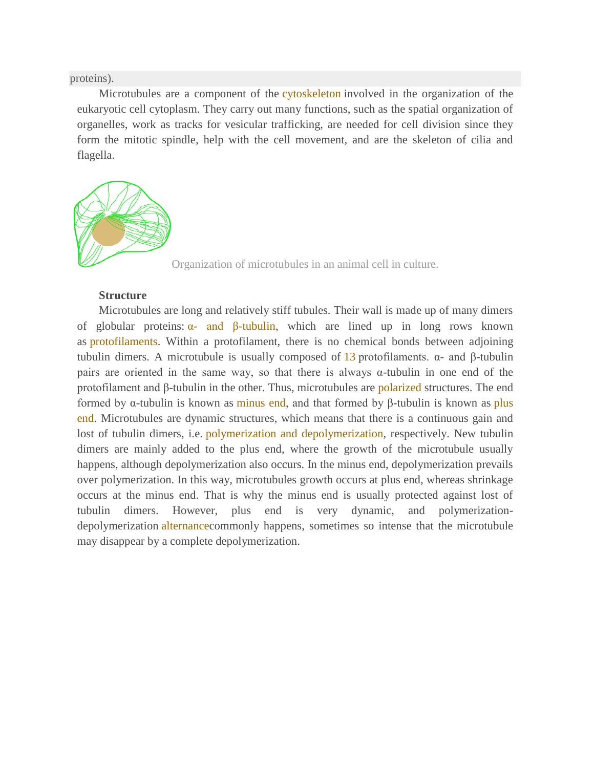proteins).

Microtubules are a component of the cytoskeleton involved in the organization of the eukaryotic cell cytoplasm. They carry out many functions, such as the spatial organization of organelles, work as tracks for vesicular trafficking, are needed for cell division since they form the mitotic spindle, help with the cell movement, and are the skeleton of cilia and flagella.



Organization of microtubules in an animal cell in culture.

# **Structure**

Microtubules are long and relatively stiff tubules. Their wall is made up of many dimers of globular proteins:  $\alpha$ - and  $\beta$ -tubulin, which are lined up in long rows known as protofilaments. Within a protofilament, there is no chemical bonds between adjoining tubulin dimers. A microtubule is usually composed of 13 protofilaments.  $\alpha$ - and β-tubulin pairs are oriented in the same way, so that there is always  $\alpha$ -tubulin in one end of the protofilament and β-tubulin in the other. Thus, microtubules are polarized structures. The end formed by α-tubulin is known as minus end, and that formed by β-tubulin is known as plus end. Microtubules are dynamic structures, which means that there is a continuous gain and lost of tubulin dimers, i.e. polymerization and depolymerization, respectively. New tubulin dimers are mainly added to the plus end, where the growth of the microtubule usually happens, although depolymerization also occurs. In the minus end, depolymerization prevails over polymerization. In this way, microtubules growth occurs at plus end, whereas shrinkage occurs at the minus end. That is why the minus end is usually protected against lost of tubulin dimers. However, plus end is very dynamic, and polymerizationdepolymerization alternancecommonly happens, sometimes so intense that the microtubule may disappear by a complete depolymerization.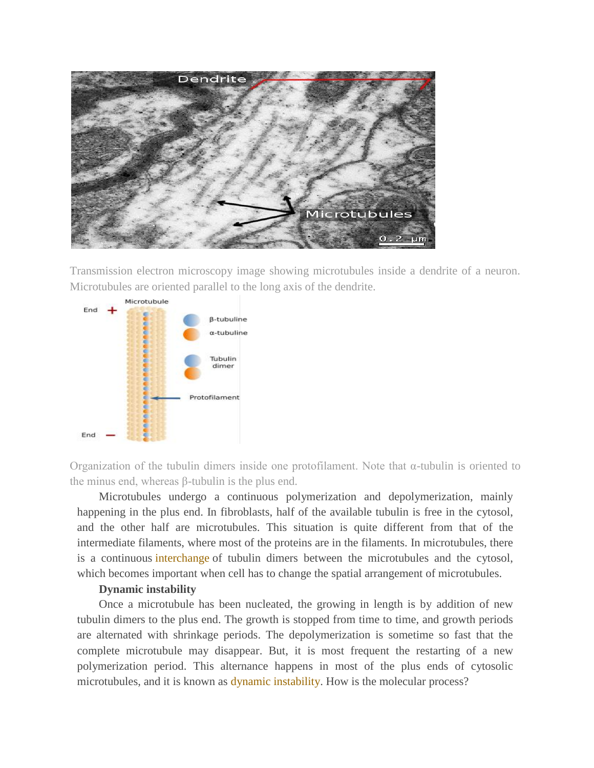

Transmission electron microscopy image showing microtubules inside a dendrite of a neuron. Microtubules are oriented parallel to the long axis of the dendrite.



Organization of the tubulin dimers inside one protofilament. Note that α-tubulin is oriented to the minus end, whereas β-tubulin is the plus end.

Microtubules undergo a continuous polymerization and depolymerization, mainly happening in the plus end. In fibroblasts, half of the available tubulin is free in the cytosol, and the other half are microtubules. This situation is quite different from that of the intermediate filaments, where most of the proteins are in the filaments. In microtubules, there is a continuous interchange of tubulin dimers between the microtubules and the cytosol, which becomes important when cell has to change the spatial arrangement of microtubules.

#### **Dynamic instability**

Once a microtubule has been nucleated, the growing in length is by addition of new tubulin dimers to the plus end. The growth is stopped from time to time, and growth periods are alternated with shrinkage periods. The depolymerization is sometime so fast that the complete microtubule may disappear. But, it is most frequent the restarting of a new polymerization period. This alternance happens in most of the plus ends of cytosolic microtubules, and it is known as dynamic instability. How is the molecular process?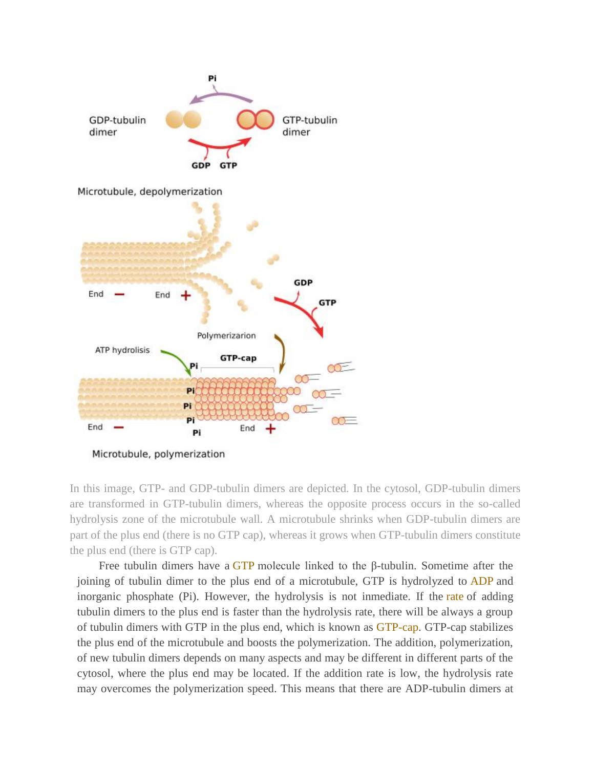

Microtubule, polymerization

In this image, GTP- and GDP-tubulin dimers are depicted. In the cytosol, GDP-tubulin dimers are transformed in GTP-tubulin dimers, whereas the opposite process occurs in the so-called hydrolysis zone of the microtubule wall. A microtubule shrinks when GDP-tubulin dimers are part of the plus end (there is no GTP cap), whereas it grows when GTP-tubulin dimers constitute the plus end (there is GTP cap).

Free tubulin dimers have a GTP molecule linked to the β-tubulin. Sometime after the joining of tubulin dimer to the plus end of a microtubule, GTP is hydrolyzed to ADP and inorganic phosphate (Pi). However, the hydrolysis is not inmediate. If the rate of adding tubulin dimers to the plus end is faster than the hydrolysis rate, there will be always a group of tubulin dimers with GTP in the plus end, which is known as GTP-cap. GTP-cap stabilizes the plus end of the microtubule and boosts the polymerization. The addition, polymerization, of new tubulin dimers depends on many aspects and may be different in different parts of the cytosol, where the plus end may be located. If the addition rate is low, the hydrolysis rate may overcomes the polymerization speed. This means that there are ADP-tubulin dimers at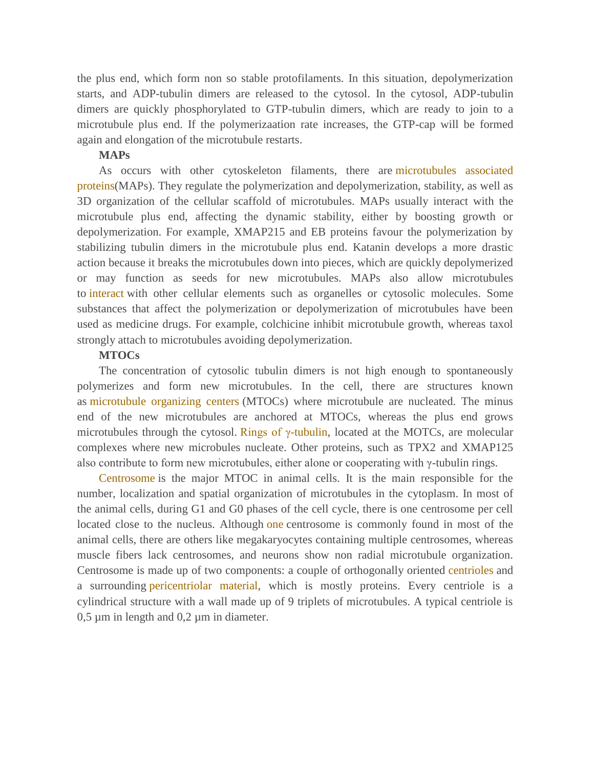the plus end, which form non so stable protofilaments. In this situation, depolymerization starts, and ADP-tubulin dimers are released to the cytosol. In the cytosol, ADP-tubulin dimers are quickly phosphorylated to GTP-tubulin dimers, which are ready to join to a microtubule plus end. If the polymerizaation rate increases, the GTP-cap will be formed again and elongation of the microtubule restarts.

#### **MAPs**

As occurs with other cytoskeleton filaments, there are microtubules associated proteins(MAPs). They regulate the polymerization and depolymerization, stability, as well as 3D organization of the cellular scaffold of microtubules. MAPs usually interact with the microtubule plus end, affecting the dynamic stability, either by boosting growth or depolymerization. For example, XMAP215 and EB proteins favour the polymerization by stabilizing tubulin dimers in the microtubule plus end. Katanin develops a more drastic action because it breaks the microtubules down into pieces, which are quickly depolymerized or may function as seeds for new microtubules. MAPs also allow microtubules to interact with other cellular elements such as organelles or cytosolic molecules. Some substances that affect the polymerization or depolymerization of microtubules have been used as medicine drugs. For example, colchicine inhibit microtubule growth, whereas taxol strongly attach to microtubules avoiding depolymerization.

#### **MTOCs**

The concentration of cytosolic tubulin dimers is not high enough to spontaneously polymerizes and form new microtubules. In the cell, there are structures known as microtubule organizing centers (MTOCs) where microtubule are nucleated. The minus end of the new microtubules are anchored at MTOCs, whereas the plus end grows microtubules through the cytosol. Rings of  $\gamma$ -tubulin, located at the MOTCs, are molecular complexes where new microbules nucleate. Other proteins, such as TPX2 and XMAP125 also contribute to form new microtubules, either alone or cooperating with γ-tubulin rings.

Centrosome is the major MTOC in animal cells. It is the main responsible for the number, localization and spatial organization of microtubules in the cytoplasm. In most of the animal cells, during G1 and G0 phases of the cell cycle, there is one centrosome per cell located close to the nucleus. Although one centrosome is commonly found in most of the animal cells, there are others like megakaryocytes containing multiple centrosomes, whereas muscle fibers lack centrosomes, and neurons show non radial microtubule organization. Centrosome is made up of two components: a couple of orthogonally oriented centrioles and a surrounding pericentriolar material, which is mostly proteins. Every centriole is a cylindrical structure with a wall made up of 9 triplets of microtubules. A typical centriole is  $0,5 \mu m$  in length and  $0,2 \mu m$  in diameter.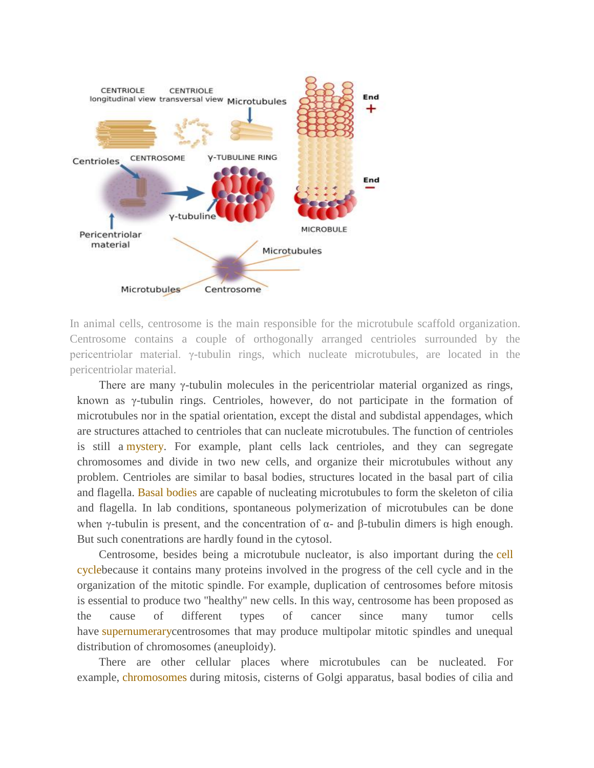

In animal cells, centrosome is the main responsible for the microtubule scaffold organization. Centrosome contains a couple of orthogonally arranged centrioles surrounded by the pericentriolar material. γ-tubulin rings, which nucleate microtubules, are located in the pericentriolar material.

There are many  $\gamma$ -tubulin molecules in the pericentriolar material organized as rings, known as γ-tubulin rings. Centrioles, however, do not participate in the formation of microtubules nor in the spatial orientation, except the distal and subdistal appendages, which are structures attached to centrioles that can nucleate microtubules. The function of centrioles is still a mystery. For example, plant cells lack centrioles, and they can segregate chromosomes and divide in two new cells, and organize their microtubules without any problem. Centrioles are similar to basal bodies, structures located in the basal part of cilia and flagella. Basal bodies are capable of nucleating microtubules to form the skeleton of cilia and flagella. In lab conditions, spontaneous polymerization of microtubules can be done when γ-tubulin is present, and the concentration of  $\alpha$ - and β-tubulin dimers is high enough. But such conentrations are hardly found in the cytosol.

Centrosome, besides being a microtubule nucleator, is also important during the cell cyclebecause it contains many proteins involved in the progress of the cell cycle and in the organization of the mitotic spindle. For example, duplication of centrosomes before mitosis is essential to produce two "healthy" new cells. In this way, centrosome has been proposed as the cause of different types of cancer since many tumor cells have supernumerarycentrosomes that may produce multipolar mitotic spindles and unequal distribution of chromosomes (aneuploidy).

There are other cellular places where microtubules can be nucleated. For example, chromosomes during mitosis, cisterns of Golgi apparatus, basal bodies of cilia and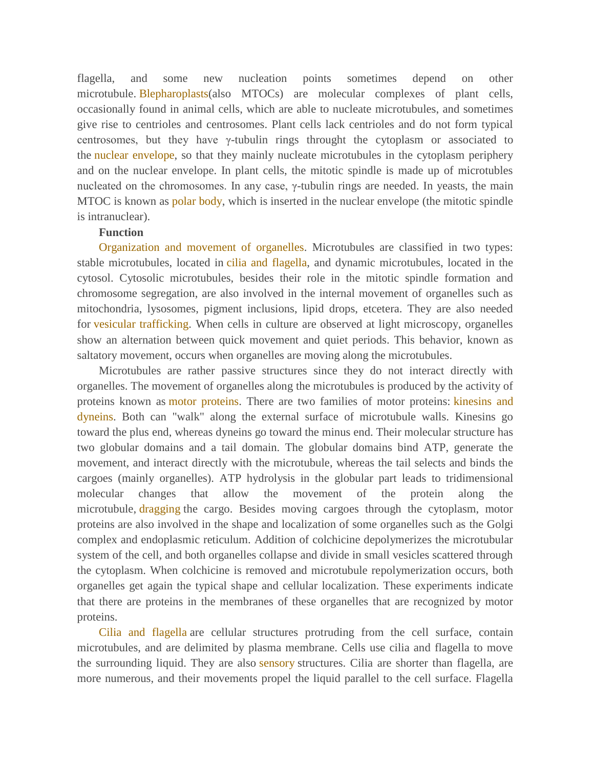flagella, and some new nucleation points sometimes depend on other microtubule. Blepharoplasts(also MTOCs) are molecular complexes of plant cells, occasionally found in animal cells, which are able to nucleate microtubules, and sometimes give rise to centrioles and centrosomes. Plant cells lack centrioles and do not form typical centrosomes, but they have γ-tubulin rings throught the cytoplasm or associated to the nuclear envelope, so that they mainly nucleate microtubules in the cytoplasm periphery and on the nuclear envelope. In plant cells, the mitotic spindle is made up of microtubles nucleated on the chromosomes. In any case, γ-tubulin rings are needed. In yeasts, the main MTOC is known as polar body, which is inserted in the nuclear envelope (the mitotic spindle is intranuclear).

## **Function**

Organization and movement of organelles. Microtubules are classified in two types: stable microtubules, located in cilia and flagella, and dynamic microtubules, located in the cytosol. Cytosolic microtubules, besides their role in the mitotic spindle formation and chromosome segregation, are also involved in the internal movement of organelles such as mitochondria, lysosomes, pigment inclusions, lipid drops, etcetera. They are also needed for vesicular trafficking. When cells in culture are observed at light microscopy, organelles show an alternation between quick movement and quiet periods. This behavior, known as saltatory movement, occurs when organelles are moving along the microtubules.

Microtubules are rather passive structures since they do not interact directly with organelles. The movement of organelles along the microtubules is produced by the activity of proteins known as motor proteins. There are two families of motor proteins: kinesins and dyneins. Both can "walk" along the external surface of microtubule walls. Kinesins go toward the plus end, whereas dyneins go toward the minus end. Their molecular structure has two globular domains and a tail domain. The globular domains bind ATP, generate the movement, and interact directly with the microtubule, whereas the tail selects and binds the cargoes (mainly organelles). ATP hydrolysis in the globular part leads to tridimensional molecular changes that allow the movement of the protein along the microtubule, dragging the cargo. Besides moving cargoes through the cytoplasm, motor proteins are also involved in the shape and localization of some organelles such as the Golgi complex and endoplasmic reticulum. Addition of colchicine depolymerizes the microtubular system of the cell, and both organelles collapse and divide in small vesicles scattered through the cytoplasm. When colchicine is removed and microtubule repolymerization occurs, both organelles get again the typical shape and cellular localization. These experiments indicate that there are proteins in the membranes of these organelles that are recognized by motor proteins.

Cilia and flagella are cellular structures protruding from the cell surface, contain microtubules, and are delimited by plasma membrane. Cells use cilia and flagella to move the surrounding liquid. They are also sensory structures. Cilia are shorter than flagella, are more numerous, and their movements propel the liquid parallel to the cell surface. Flagella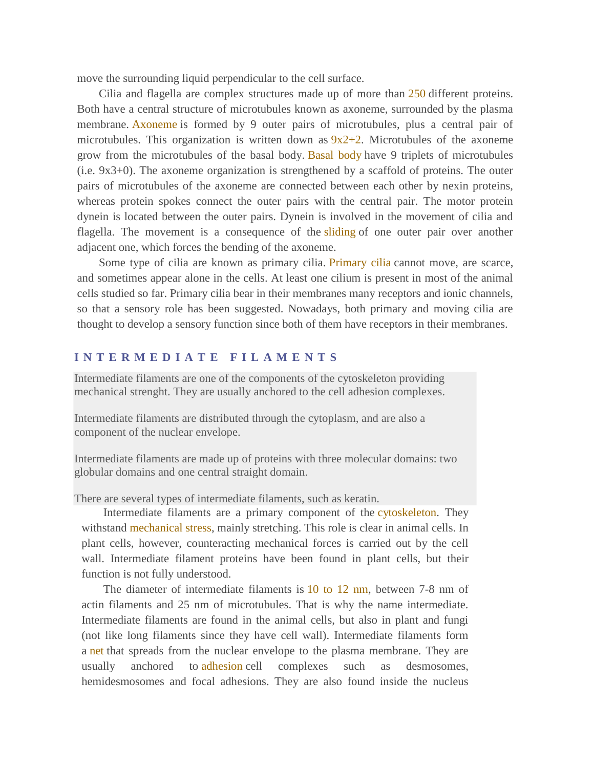move the surrounding liquid perpendicular to the cell surface.

Cilia and flagella are complex structures made up of more than 250 different proteins. Both have a central structure of microtubules known as axoneme, surrounded by the plasma membrane. Axoneme is formed by 9 outer pairs of microtubules, plus a central pair of microtubules. This organization is written down as  $9x2+2$ . Microtubules of the axoneme grow from the microtubules of the basal body. Basal body have 9 triplets of microtubules (i.e. 9x3+0). The axoneme organization is strengthened by a scaffold of proteins. The outer pairs of microtubules of the axoneme are connected between each other by nexin proteins, whereas protein spokes connect the outer pairs with the central pair. The motor protein dynein is located between the outer pairs. Dynein is involved in the movement of cilia and flagella. The movement is a consequence of the sliding of one outer pair over another adjacent one, which forces the bending of the axoneme.

Some type of cilia are known as primary cilia. Primary cilia cannot move, are scarce, and sometimes appear alone in the cells. At least one cilium is present in most of the animal cells studied so far. Primary cilia bear in their membranes many receptors and ionic channels, so that a sensory role has been suggested. Nowadays, both primary and moving cilia are thought to develop a sensory function since both of them have receptors in their membranes.

# **I N T E R M E D I A T E F I L A M E N T S**

Intermediate filaments are one of the components of the cytoskeleton providing mechanical strenght. They are usually anchored to the cell adhesion complexes.

Intermediate filaments are distributed through the cytoplasm, and are also a component of the nuclear envelope.

Intermediate filaments are made up of proteins with three molecular domains: two globular domains and one central straight domain.

There are several types of intermediate filaments, such as keratin.

Intermediate filaments are a primary component of the cytoskeleton. They withstand mechanical stress, mainly stretching. This role is clear in animal cells. In plant cells, however, counteracting mechanical forces is carried out by the cell wall. Intermediate filament proteins have been found in plant cells, but their function is not fully understood.

The diameter of intermediate filaments is 10 to 12 nm, between 7-8 nm of actin filaments and 25 nm of microtubules. That is why the name intermediate. Intermediate filaments are found in the animal cells, but also in plant and fungi (not like long filaments since they have cell wall). Intermediate filaments form a net that spreads from the nuclear envelope to the plasma membrane. They are usually anchored to adhesion cell complexes such as desmosomes, hemidesmosomes and focal adhesions. They are also found inside the nucleus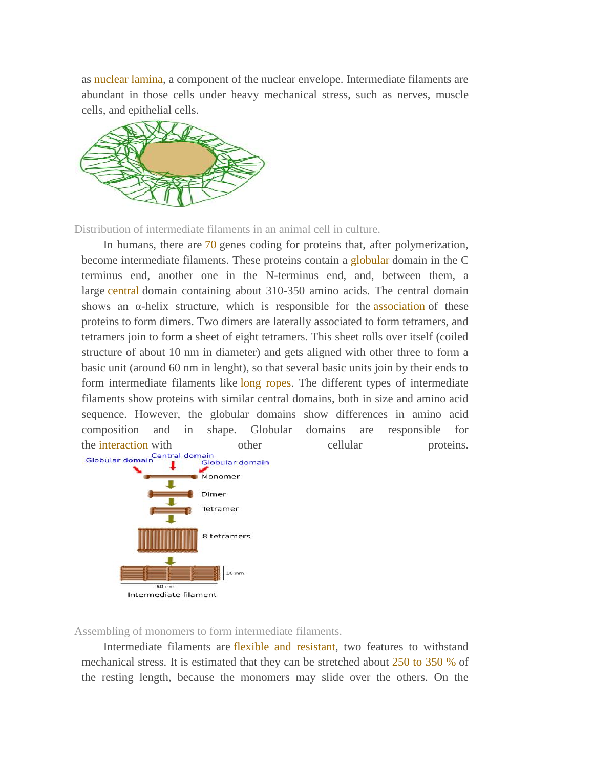as nuclear lamina, a component of the nuclear envelope. Intermediate filaments are abundant in those cells under heavy mechanical stress, such as nerves, muscle cells, and epithelial cells.



Distribution of intermediate filaments in an animal cell in culture.

In humans, there are 70 genes coding for proteins that, after polymerization, become intermediate filaments. These proteins contain a globular domain in the C terminus end, another one in the N-terminus end, and, between them, a large central domain containing about 310-350 amino acids. The central domain shows an  $\alpha$ -helix structure, which is responsible for the association of these proteins to form dimers. Two dimers are laterally associated to form tetramers, and tetramers join to form a sheet of eight tetramers. This sheet rolls over itself (coiled structure of about 10 nm in diameter) and gets aligned with other three to form a basic unit (around 60 nm in lenght), so that several basic units join by their ends to form intermediate filaments like long ropes. The different types of intermediate filaments show proteins with similar central domains, both in size and amino acid sequence. However, the globular domains show differences in amino acid composition and in shape. Globular domains are responsible for the interaction with other cellular proteins.<br>
Globular domain<br>
Globular domain<br>
Globular domain iain<br>Globular domain



Assembling of monomers to form intermediate filaments.

Intermediate filaments are flexible and resistant, two features to withstand mechanical stress. It is estimated that they can be stretched about 250 to 350 % of the resting length, because the monomers may slide over the others. On the